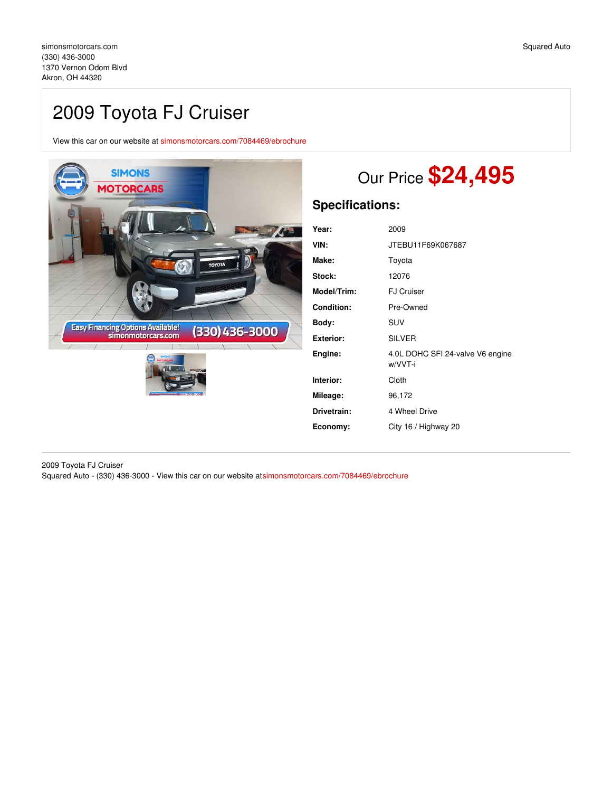## 2009 Toyota FJ Cruiser

View this car on our website at [simonsmotorcars.com/7084469/ebrochure](https://simonsmotorcars.com/vehicle/7084469/2009-toyota-fj-cruiser-akron-oh-44320/7084469/ebrochure)



# Our Price **\$24,495**

## **Specifications:**

| Year:             | 2009                                        |
|-------------------|---------------------------------------------|
| VIN:              | JTEBU11F69K067687                           |
| Make:             | Toyota                                      |
| Stock:            | 12076                                       |
| Model/Trim:       | <b>FJ Cruiser</b>                           |
| <b>Condition:</b> | Pre-Owned                                   |
| Body:             | SUV                                         |
| <b>Exterior:</b>  | <b>SILVER</b>                               |
| Engine:           | 4.0L DOHC SFI 24-valve V6 engine<br>w/VVT-i |
| Interior:         | Cloth                                       |
| Mileage:          | 96,172                                      |
| Drivetrain:       | 4 Wheel Drive                               |
| Economy:          | City 16 / Highway 20                        |

2009 Toyota FJ Cruiser Squared Auto - (330) 436-3000 - View this car on our website a[tsimonsmotorcars.com/7084469/ebrochure](https://simonsmotorcars.com/vehicle/7084469/2009-toyota-fj-cruiser-akron-oh-44320/7084469/ebrochure)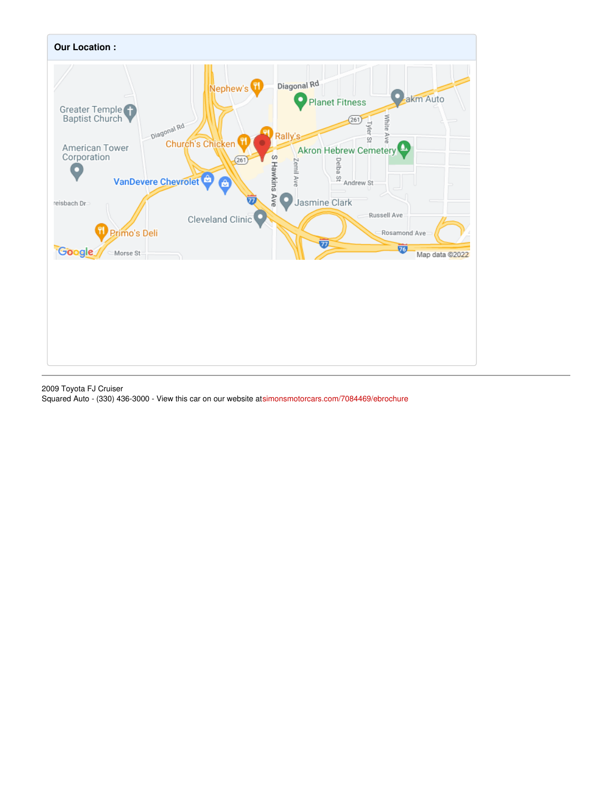

2009 Toyota FJ Cruiser Squared Auto - (330) 436-3000 - View this car on our website a[tsimonsmotorcars.com/7084469/ebrochure](https://simonsmotorcars.com/vehicle/7084469/2009-toyota-fj-cruiser-akron-oh-44320/7084469/ebrochure)